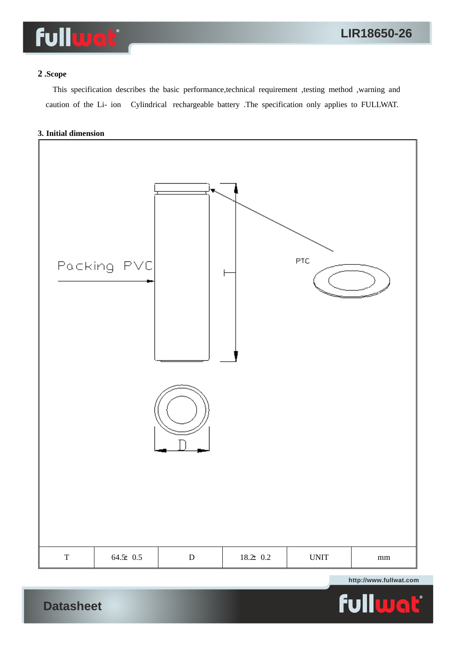

## **2 .Scope**

 This specification describes the basic performance,technical requirement ,testing method ,warning and caution of the Li- ion Cylindrical rechargeable battery .The specification only applies to FULLWAT.

### **3. Initial dimension**

**Datasheet**



**http://www.fullwat.com**

 $\overline{\mathbf{L}}^{\bullet}$ ful G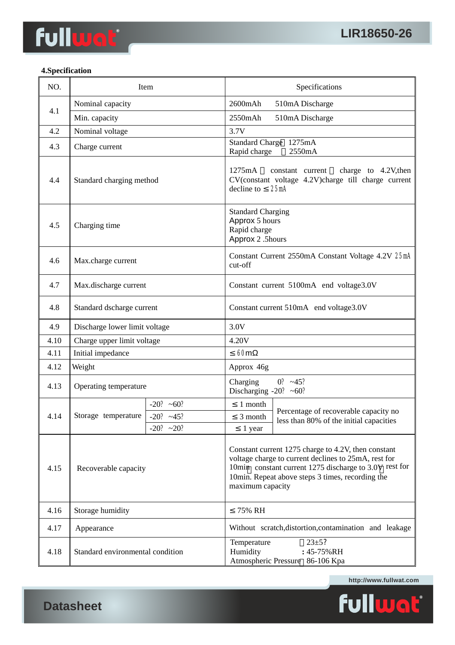## **4.Specification**

| NO.  | Item                             |             | Specifications                                                                                                                                                                                                                                |                                                                                                         |  |
|------|----------------------------------|-------------|-----------------------------------------------------------------------------------------------------------------------------------------------------------------------------------------------------------------------------------------------|---------------------------------------------------------------------------------------------------------|--|
| 4.1  | Nominal capacity                 |             |                                                                                                                                                                                                                                               | 2600mAh<br>510mA Discharge                                                                              |  |
|      | Min. capacity                    |             | 2550mAh                                                                                                                                                                                                                                       | 510mA Discharge                                                                                         |  |
| 4.2  | Nominal voltage                  |             | 3.7V                                                                                                                                                                                                                                          |                                                                                                         |  |
| 4.3  | Charge current                   |             | Rapid charge                                                                                                                                                                                                                                  | Standard Charge 1275mA<br>2550mA                                                                        |  |
| 4.4  | Standard charging method         |             | 1275mA<br>decline to                                                                                                                                                                                                                          | charge to 4.2V, then<br>constant current<br>CV(constant voltage 4.2V)charge till charge current<br>25mA |  |
| 4.5  | Charging time                    |             | <b>Standard Charging</b><br>Approx 5 hours<br>Rapid charge<br>Approx 2.5hours                                                                                                                                                                 |                                                                                                         |  |
| 4.6  | Max.charge current               |             | Constant Current 2550mA Constant Voltage 4.2V 25mA<br>cut-off                                                                                                                                                                                 |                                                                                                         |  |
| 4.7  | Max.discharge current            |             | Constant current 5100mA end voltage3.0V                                                                                                                                                                                                       |                                                                                                         |  |
| 4.8  | Standard dscharge current        |             | Constant current 510mA end voltage3.0V                                                                                                                                                                                                        |                                                                                                         |  |
| 4.9  | Discharge lower limit voltage    |             | 3.0V                                                                                                                                                                                                                                          |                                                                                                         |  |
| 4.10 | Charge upper limit voltage       |             | 4.20V                                                                                                                                                                                                                                         |                                                                                                         |  |
| 4.11 | Initial impedance                |             | 60m                                                                                                                                                                                                                                           |                                                                                                         |  |
| 4.12 | Weight                           |             | Approx 46g                                                                                                                                                                                                                                    |                                                                                                         |  |
| 4.13 | Operating temperature            |             | Charging<br>Discharging -20? $~50$ ?                                                                                                                                                                                                          | $0? -45?$                                                                                               |  |
|      |                                  | $-20? -60?$ | 1 month                                                                                                                                                                                                                                       |                                                                                                         |  |
| 4.14 | Storage temperature              | $-20? -45?$ | 3 month                                                                                                                                                                                                                                       | Percentage of recoverable capacity no<br>less than 80% of the initial capacities                        |  |
|      |                                  | $-20? -20?$ | 1 year                                                                                                                                                                                                                                        |                                                                                                         |  |
| 4.15 | Recoverable capacity             |             | Constant current 1275 charge to 4.2V, then constant<br>voltage charge to current declines to 25mA, rest for<br>10min constant current 1275 discharge to 3.0V rest for<br>10min. Repeat above steps 3 times, recording the<br>maximum capacity |                                                                                                         |  |
| 4.16 | Storage humidity                 |             | 75% RH                                                                                                                                                                                                                                        |                                                                                                         |  |
| 4.17 | Appearance                       |             | Without scratch, distortion, contamination and leakage                                                                                                                                                                                        |                                                                                                         |  |
| 4.18 | Standard environmental condition |             | $23 + 5?$<br>Temperature<br>Humidity<br>: 45-75%RH<br>Atmospheric Pressure 86-106 Kpa                                                                                                                                                         |                                                                                                         |  |

**http://www.fullwat.com**



**Datasheet**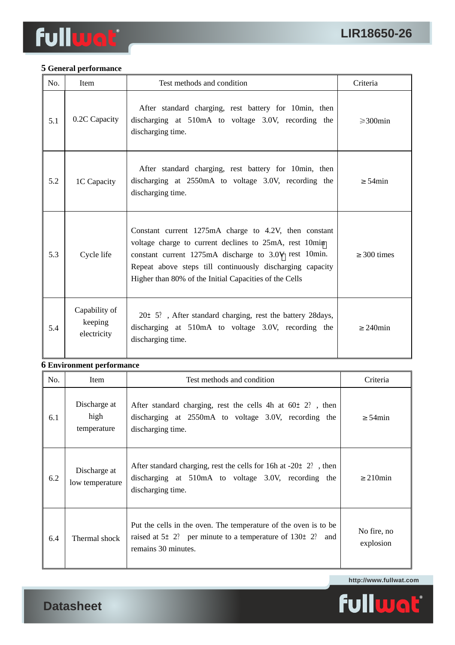# **5 General performance**

| No. | Item                                    | Test methods and condition                                                                                                                                                                                                                                                                      | Criteria           |
|-----|-----------------------------------------|-------------------------------------------------------------------------------------------------------------------------------------------------------------------------------------------------------------------------------------------------------------------------------------------------|--------------------|
| 5.1 | 0.2C Capacity                           | After standard charging, rest battery for 10min, then<br>discharging at 510mA to voltage 3.0V, recording the<br>discharging time.                                                                                                                                                               | $\geqslant$ 300min |
| 5.2 | 1C Capacity                             | After standard charging, rest battery for 10min, then<br>discharging at 2550mA to voltage 3.0V, recording the<br>discharging time.                                                                                                                                                              | 54 <sub>min</sub>  |
| 5.3 | Cycle life                              | Constant current 1275mA charge to 4.2V, then constant<br>voltage charge to current declines to 25mA, rest 10min<br>constant current 1275mA discharge to 3.0V rest 10min.<br>Repeat above steps till continuously discharging capacity<br>Higher than 80% of the Initial Capacities of the Cells | 300 times          |
| 5.4 | Capability of<br>keeping<br>electricity | $20 \pm 5$ ?, After standard charging, rest the battery 28 days,<br>discharging at 510mA to voltage 3.0V, recording the<br>discharging time.                                                                                                                                                    | $240$ min          |

## **6 Environment performance**

| No. | Item                                | Test methods and condition                                                                                                                                       | Criteria                 |
|-----|-------------------------------------|------------------------------------------------------------------------------------------------------------------------------------------------------------------|--------------------------|
| 6.1 | Discharge at<br>high<br>temperature | After standard charging, rest the cells 4h at $60 \pm 2$ ?, then<br>discharging at 2550mA to voltage 3.0V, recording the<br>discharging time.                    | 54 <sub>min</sub>        |
| 6.2 | Discharge at<br>low temperature     | After standard charging, rest the cells for 16h at $-20 \pm 2$ ?, then<br>discharging at 510mA to voltage 3.0V, recording the<br>discharging time.               | $210$ min                |
| 6.4 | Thermal shock                       | Put the cells in the oven. The temperature of the oven is to be<br>raised at $5 \pm 2$ ? per minute to a temperature of $130 \pm 2$ ? and<br>remains 30 minutes. | No fire, no<br>explosion |

**http://www.fullwat.com**



**Datasheet**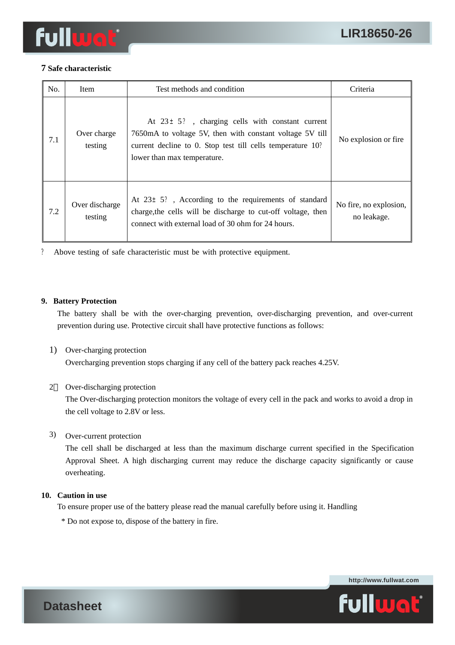

## **7 Safe characteristic**

| No. | Item                      | Test methods and condition                                                                                                                                                                                     | Criteria                              |
|-----|---------------------------|----------------------------------------------------------------------------------------------------------------------------------------------------------------------------------------------------------------|---------------------------------------|
| 7.1 | Over charge<br>testing    | At $23 \pm 5$ ?, charging cells with constant current<br>7650mA to voltage 5V, then with constant voltage 5V till<br>current decline to 0. Stop test till cells temperature 10?<br>lower than max temperature. | No explosion or fire.                 |
| 7.2 | Over discharge<br>testing | At $23 \pm 5$ ?, According to the requirements of standard<br>charge, the cells will be discharge to cut-off voltage, then<br>connect with external load of 30 ohm for 24 hours.                               | No fire, no explosion,<br>no leakage. |

? Above testing of safe characteristic must be with protective equipment.

### **9. Battery Protection**

The battery shall be with the over-charging prevention, over-discharging prevention, and over-current prevention during use. Protective circuit shall have protective functions as follows:

1) Over-charging protection

Overcharging prevention stops charging if any cell of the battery pack reaches 4.25V.

## 2 Over-discharging protection

The Over-discharging protection monitors the voltage of every cell in the pack and works to avoid a drop in the cell voltage to 2.8V or less.

## 3) Over-current protection

The cell shall be discharged at less than the maximum discharge current specified in the Specification Approval Sheet. A high discharging current may reduce the discharge capacity significantly or cause overheating.

## **10. Caution in use**

To ensure proper use of the battery please read the manual carefully before using it. Handling

\* Do not expose to, dispose of the battery in fire.



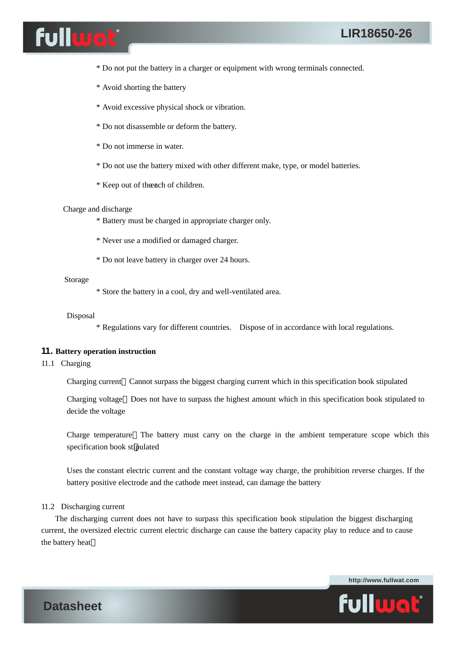

- \* Do not put the battery in a charger or equipment with wrong terminals connected.
- \* Avoid shorting the battery
- \* Avoid excessive physical shock or vibration.
- \* Do not disassemble or deform the battery.
- \* Do not immerse in water.
- \* Do not use the battery mixed with other different make, type, or model batteries.
- \* Keep out of the ach of children.

#### Charge and discharge

- \* Battery must be charged in appropriate charger only.
- \* Never use a modified or damaged charger.
- \* Do not leave battery in charger over 24 hours.

#### Storage

\* Store the battery in a cool, dry and well-ventilated area.

#### Disposal

\* Regulations vary for different countries. Dispose of in accordance with local regulations.

### **11. Battery operation instruction**

#### 11.1 Charging

- Charging current Cannot surpass the biggest charging current which in this specification book stipulated
- Charging voltage Does not have to surpass the highest amount which in this specification book stipulated to decide the voltage
- Charge temperature The battery must carry on the charge in the ambient temperature scope which this specification book stipulated
- Uses the constant electric current and the constant voltage way charge, the prohibition reverse charges. If the battery positive electrode and the cathode meet instead, can damage the battery

### 11.2 Discharging current

 The discharging current does not have to surpass this specification book stipulation the biggest discharging current, the oversized electric current electric discharge can cause the battery capacity play to reduce and to cause the battery heat





**Datasheet**